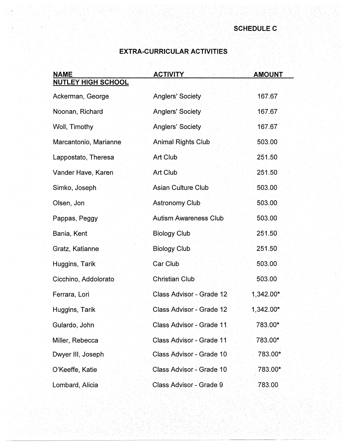## **EXTRA-CURRICULAR ACTIVITIES**

| NAME                      | <b>ACTIVITY</b>              | <b>AMOUNT</b> |
|---------------------------|------------------------------|---------------|
| <b>NUTLEY HIGH SCHOOL</b> |                              |               |
| Ackerman, George          | <b>Anglers' Society</b>      | 167.67        |
| Noonan, Richard           | <b>Anglers' Society</b>      | 167.67        |
| Woll, Timothy             | Anglers' Society             | 167.67        |
| Marcantonio, Marianne     | <b>Animal Rights Club</b>    | 503.00        |
| Lappostato, Theresa       | <b>Art Club</b>              | 251.50        |
| Vander Have, Karen        | Art Club                     | 251.50        |
| Simko, Joseph             | <b>Asian Culture Club</b>    | 503.00        |
| Olsen, Jon                | <b>Astronomy Club</b>        | 503.00        |
| Pappas, Peggy             | <b>Autism Awareness Club</b> | 503.00        |
| Bania, Kent               | <b>Biology Club</b>          | 251.50        |
| Gratz, Katianne           | <b>Biology Club</b>          | 251.50        |
| Huggins, Tarik            | Car Club                     | 503.00        |
| Cicchino, Addolorato      | <b>Christian Club</b>        | 503.00        |
| Ferrara, Lori             | Class Advisor - Grade 12     | $1,342.00*$   |
| Huggins, Tarik            | Class Advisor - Grade 12     | 1,342.00*     |
| Gulardo, John             | Class Advisor - Grade 11     | 783.00*       |
| Miller, Rebecca           | Class Advisor - Grade 11     | 783.00*       |
| Dwyer III, Joseph         | Class Advisor - Grade 10     | 783.00*       |
| O'Keeffe, Katie           | Class Advisor - Grade 10     | 783.00*       |
| Lombard, Alicia           | Class Advisor - Grade 9      | 783.00        |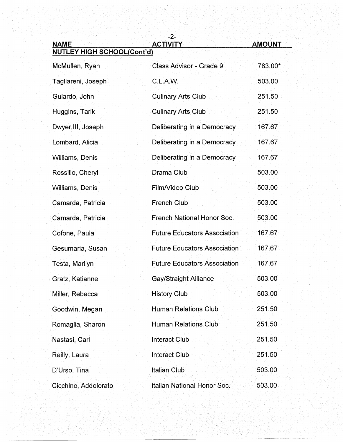| <b>NAME</b>                       | $-2-$<br><b>ACTIVITY</b>            | <b>AMOUNT</b> |
|-----------------------------------|-------------------------------------|---------------|
| <b>NUTLEY HIGH SCHOOL(Cont'd)</b> |                                     |               |
| McMullen, Ryan                    | Class Advisor - Grade 9             | 783.00*       |
| Tagliareni, Joseph                | C.L.A.W.                            | 503.00        |
| Gulardo, John                     | <b>Culinary Arts Club</b>           | 251.50        |
| Huggins, Tarik                    | <b>Culinary Arts Club</b>           | 251.50        |
| Dwyer, III, Joseph                | Deliberating in a Democracy         | 167.67        |
| Lombard, Alicia                   | Deliberating in a Democracy         | 167.67        |
| <b>Williams, Denis</b>            | Deliberating in a Democracy         | 167.67        |
| Rossillo, Cheryl                  | Drama Club                          | 503.00        |
| Williams, Denis                   | Film/Video Club                     | 503.00        |
| Camarda, Patricia                 | <b>French Club</b>                  | 503.00        |
| Camarda, Patricia                 | <b>French National Honor Soc.</b>   | 503.00        |
| Cofone, Paula                     | <b>Future Educators Association</b> | 167.67        |
| Gesumaria, Susan                  | <b>Future Educators Association</b> | 167.67        |
| Testa, Marilyn                    | <b>Future Educators Association</b> | 167.67        |
| Gratz, Katianne                   | <b>Gay/Straight Alliance</b>        | 503.00        |
| Miller, Rebecca                   | <b>History Club</b>                 | 503.00        |
| Goodwin, Megan                    | <b>Human Relations Club</b>         | 251.50        |
| Romaglia, Sharon                  | <b>Human Relations Club</b>         | 251.50        |
| Nastasi, Carl                     | <b>Interact Club</b>                | 251.50        |
| Reilly, Laura                     | <b>Interact Club</b>                | 251.50        |
| D'Urso, Tina                      | <b>Italian Club</b>                 | 503.00        |
| Cicchino, Addolorato              | Italian National Honor Soc.         | 503.00        |

11. 헤터리 11. 레오리아 인도 2012 - 2012 12: 19:00 12:00 12:00 12:00 12:00 12:00 12:00 12:00 12:00 12:00 12:00 12:00 12<br>2012 - 12:00 12:00 12:00 12:00 12:00 12:00 12:00 12:00 12:00 12:00 12:00 12:00 12:00 12:00 12:00 12:00 12:00<br>2

---------------~------ ----~-- --~-~-----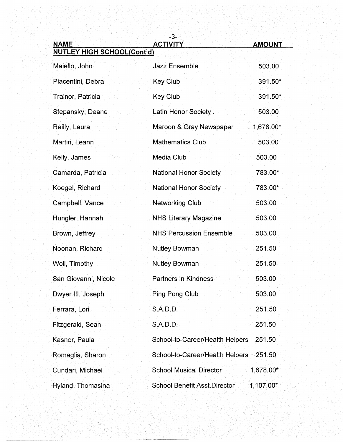| <b>NAME</b>                       | $-3-$<br><b>ACTIVITY</b>            | <b>AMOUNT</b> |
|-----------------------------------|-------------------------------------|---------------|
| <b>NUTLEY HIGH SCHOOL(Cont'd)</b> |                                     |               |
| Maiello, John                     | <b>Jazz Ensemble</b>                | 503.00        |
| Piacentini, Debra                 | Key Club                            | 391.50*       |
| Trainor, Patricia                 | <b>Key Club</b>                     | 391.50*       |
| Stepansky, Deane                  | Latin Honor Society.                | 503.00        |
| Reilly, Laura                     | Maroon & Gray Newspaper             | 1,678.00*     |
| Martin, Leann                     | <b>Mathematics Club</b>             | 503.00        |
| Kelly, James                      | <b>Media Club</b>                   | 503.00        |
| Camarda, Patricia                 | <b>National Honor Society</b>       | 783.00*       |
| Koegel, Richard                   | <b>National Honor Society</b>       | 783.00*       |
| Campbell, Vance                   | <b>Networking Club</b>              | 503.00        |
| Hungler, Hannah.                  | <b>NHS Literary Magazine</b>        | 503.00        |
| Brown, Jeffrey                    | <b>NHS Percussion Ensemble</b>      | 503.00        |
| Noonan, Richard                   | <b>Nutley Bowman</b>                | 251.50        |
| Woll, Timothy                     | <b>Nutley Bowman</b>                | 251.50        |
| San Giovanni, Nicole              | <b>Partners in Kindness</b>         | 503.00        |
| Dwyer III, Joseph                 | Ping Pong Club                      | 503.00        |
| Ferrara, Lori                     | S.A.D.D.                            | 251.50        |
| Fitzgerald, Sean                  | S.A.D.D.                            | 251.50        |
| Kasner, Paula                     | School-to-Career/Health Helpers     | 251.50        |
| Romaglia, Sharon                  | School-to-Career/Health Helpers     | 251.50        |
| Cundari, Michael                  | <b>School Musical Director</b>      | 1,678.00*     |
| Hyland, Thomasina                 | <b>School Benefit Asst Director</b> | 1,107.00*     |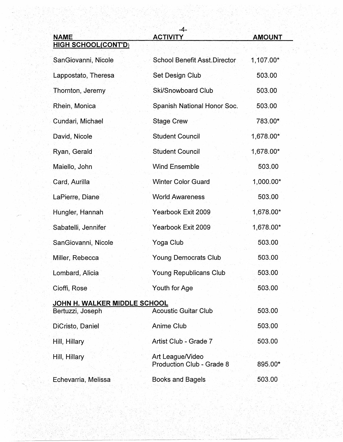| <b>NAME</b>                                      | -4-<br><b>ACTIVITY</b>                               | <b>AMOUNT</b> |
|--------------------------------------------------|------------------------------------------------------|---------------|
| <b>HIGH SCHOOL(CONT'D)</b>                       |                                                      |               |
| SanGiovanni, Nicole                              | <b>School Benefit Asst Director</b>                  | 1,107.00*     |
| Lappostato, Theresa                              | Set Design Club                                      | 503.00        |
| Thornton, Jeremy                                 | <b>Ski/Snowboard Club</b>                            | 503.00        |
| Rhein, Monica                                    | Spanish National Honor Soc.                          | 503.00        |
| Cundari, Michael                                 | <b>Stage Crew</b>                                    | 783.00*       |
| David, Nicole                                    | <b>Student Council</b>                               | 1,678.00*     |
| Ryan, Gerald                                     | <b>Student Council</b>                               | 1,678.00*     |
| Maiello, John                                    | <b>Wind Ensemble</b>                                 | 503.00        |
| Card, Aurilla                                    | <b>Winter Color Guard</b>                            | 1,000.00*     |
| LaPierre, Diane                                  | <b>World Awareness</b>                               | 503.00        |
| Hungler, Hannah                                  | Yearbook Exit 2009                                   | 1,678.00*     |
| Sabatelli, Jennifer                              | Yearbook Exit 2009                                   | 1,678.00*     |
| SanGiovanni, Nicole                              | Yoga Club                                            | 503.00        |
| Miller, Rebecca                                  | <b>Young Democrats Club</b>                          | 503.00        |
| Lombard, Alicia                                  | <b>Young Republicans Club</b>                        | 503.00        |
| Cioffi, Rose                                     | Youth for Age                                        | 503.00        |
| JOHN H. WALKER MIDDLE SCHOOL<br>Bertuzzi, Joseph | <b>Acoustic Guitar Club</b>                          | 503.00        |
| DiCristo, Daniel                                 | <b>Anime Club</b>                                    | 503.00        |
| Hill, Hillary                                    | Artist Club - Grade 7                                | 503.00        |
| Hill, Hillary                                    | Art League/Video<br><b>Production Club - Grade 8</b> | 895.00*       |
| Echevarria, Melissa                              | <b>Books and Bagels</b>                              | 503.00        |

사용단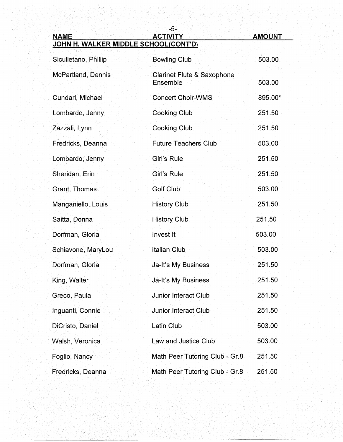-5- **NAME ACTIVITY ACTIVITY AMOUNT** 

## · **JOHN H. WALKER MIDDLE SCHOOL(CONT'D)**

| Siculietano, Phillip | <b>Bowling Club</b>                               | 503.00  |
|----------------------|---------------------------------------------------|---------|
| McPartland, Dennis   | <b>Clarinet Flute &amp; Saxophone</b><br>Ensemble | 503.00  |
| Cundari, Michael     | <b>Concert Choir-WMS</b>                          | 895.00* |
| Lombardo, Jenny      | <b>Cooking Club</b>                               | 251.50  |
| Zazzali, Lynn        | <b>Cooking Club</b>                               | 251.50  |
| Fredricks, Deanna    | <b>Future Teachers Club</b>                       | 503.00  |
| Lombardo, Jenny      | Girl's Rule                                       | 251.50  |
| Sheridan, Erin       | Girl's Rule                                       | 251.50  |
| Grant, Thomas        | <b>Golf Club</b>                                  | 503.00  |
| Manganiello, Louis   | <b>History Club</b>                               | 251.50  |
| Saitta, Donna        | <b>History Club</b>                               | 251.50  |
| Dorfman, Gloria      | Invest It                                         | 503.00  |
| Schiavone, MaryLou   | <b>Italian Club</b>                               | 503.00  |
| Dorfman, Gloria      | Ja-It's My Business                               | 251.50  |
| King, Walter         | Ja-It's My Business                               | 251.50  |
| Greco, Paula         | <b>Junior Interact Club</b>                       | 251.50  |
| Inguanti, Connie     | <b>Junior Interact Club</b>                       | 251.50  |
| DiCristo, Daniel     | Latin Club                                        | 503.00  |
| Walsh, Veronica      | Law and Justice Club                              | 503.00  |
| Foglio, Nancy        | Math Peer Tutoring Club - Gr.8                    | 251.50  |
| Fredricks, Deanna    | Math Peer Tutoring Club - Gr.8                    | 251.50  |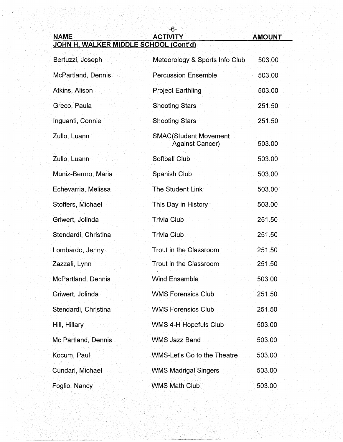## -6- **NAME ACTIVITY ACTIVITY AMOUNT JOHN H. WALKER MIDDLE SCHOOL (Cont'd)**

Bertuzzi, Joseph Meteorology & Sports Info Club 503.00 McPartland, Dennis **Percussion Ensemble** 503.00 Atkins, Alison **Project Earthling 603.00** Greco, Paula Shooting Stars 251.50 Inguanti, Connie Shooting Stars 251.50 Zullo, Luann SMAC(Student Movement Against Cancer) 503.00 Zullo, Luann Softball Club 503.00 Muniz-Bermo, Maria Superintensish Club 503.00 Echevarria, Melissa The Student Link 503.00 Stoffers, Michael This Day in History 503.00 Griwert, Jolinda **Trivia Club 251.50** Stendardi, Christina **Trivia Club 251.50** Lombardo, Jenny **Trout in the Classroom** 251.50 Zazzali, Lynn **Zazzali, Lynn** 251.50 McPartland, Dennis Wind Ensemble 503.00 Griwert, Jolinda WMS Forensics Club 251.50 Stendardi, Christina WMS Forensics Club 251.50 Hill, Hillary **East of the WMS 4-H Hopefuls Club** 503.00 Mc Partland, Dennis Communistic WMS Jazz Band 503.00 S03.00 Kocum, Paul Note and WMS-Let's Go to the Theatre 503.00 Cundari, Michael WMS Madrigal Singers 503.00 Foglio, Nancy WMS Math Club 503.00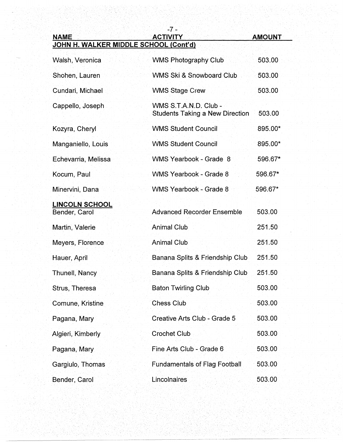| <b>NAME</b>                            | -7 -<br><b>ACTIVITY</b>                                         | <b>AMOUNT</b> |
|----------------------------------------|-----------------------------------------------------------------|---------------|
| JOHN H. WALKER MIDDLE SCHOOL (Cont'd)  |                                                                 |               |
| Walsh, Veronica                        | <b>WMS Photography Club</b>                                     | 503.00        |
| Shohen, Lauren                         | WMS Ski & Snowboard Club                                        | 503.00        |
| Cundari, Michael                       | <b>WMS Stage Crew</b>                                           | 503.00        |
| Cappello, Joseph                       | WMS S.T.A.N.D. Club -<br><b>Students Taking a New Direction</b> | 503.00        |
| Kozyra, Cheryl                         | <b>WMS Student Council</b>                                      | 895.00*       |
| Manganiello, Louis                     | <b>WMS Student Council</b>                                      | 895.00*       |
| Echevarria, Melissa                    | WMS Yearbook - Grade 8                                          | 596.67*       |
| Kocum, Paul                            | <b>WMS Yearbook - Grade 8</b>                                   | 596.67*       |
| Minervini, Dana                        | <b>WMS Yearbook - Grade 8</b>                                   | 596.67*       |
| <b>LINCOLN SCHOOL</b><br>Bender, Carol | <b>Advanced Recorder Ensemble</b>                               | 503.00        |
| Martin, Valerie                        | <b>Animal Club</b>                                              | 251.50        |
| Meyers, Florence                       | <b>Animal Club</b>                                              | 251.50        |
| Hauer, April                           | Banana Splits & Friendship Club                                 | 251.50        |
| <b>Thunell, Nancy</b>                  | Banana Splits & Friendship Club                                 | 251.50        |
| Strus, Theresa                         | <b>Baton Twirling Club</b>                                      | 503.00        |
| Comune, Kristine                       | <b>Chess Club</b>                                               | 503.00        |
| Pagana, Mary                           | Creative Arts Club - Grade 5                                    | 503.00        |
| Algieri, Kimberly                      | <b>Crochet Club</b>                                             | 503.00        |
| Pagana, Mary                           | Fine Arts Club - Grade 6                                        | 503.00        |
| Gargiulo, Thomas                       | <b>Fundamentals of Flag Football</b>                            | 503.00        |
| Bender, Carol                          | Lincolnaires                                                    | 503.00        |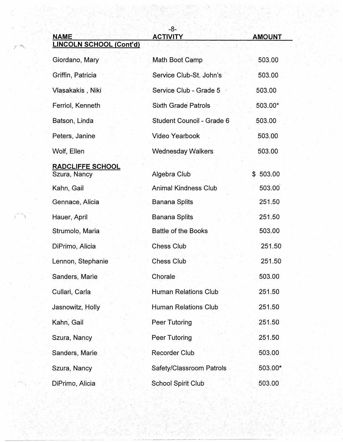| <b>NAME</b><br><b>LINCOLN SCHOOL (Cont'd)</b> | -8-<br><b>ACTIVITY</b>      | <b>AMOUNT</b> |
|-----------------------------------------------|-----------------------------|---------------|
| Giordano, Mary                                | Math Boot Camp              | 503.00        |
| Griffin, Patricia                             | Service Club-St. John's     | 503.00        |
| Vlasakakis, Niki                              | Service Club - Grade 5      | 503.00        |
| Ferriol, Kenneth                              | <b>Sixth Grade Patrols</b>  | 503.00*       |
| Batson, Linda                                 | Student Council - Grade 6   | 503.00        |
| Peters, Janine                                | <b>Video Yearbook</b>       | 503.00        |
| Wolf, Ellen                                   | <b>Wednesday Walkers</b>    | 503.00        |
| RADCLIFFE SCHOOL                              |                             |               |
| Szura, Nancy                                  | Algebra Club                | \$503.00      |
| Kahn, Gail                                    | <b>Animal Kindness Club</b> | 503.00        |
| Gennace, Alicia                               | <b>Banana Splits</b>        | 251.50        |
| Hauer, April                                  | <b>Banana Splits</b>        | 251.50        |
| Strumolo, Maria                               | <b>Battle of the Books</b>  | 503.00        |
| DiPrimo, Alicia                               | <b>Chess Club</b>           | 251.50        |
| Lennon, Stephanie                             | <b>Chess Club</b>           | 251.50        |
| Sanders, Marie                                | Chorale                     | 503.00        |
| Cullari, Carla                                | <b>Human Relations Club</b> | 251.50        |
| Jasnowitz, Holly                              | <b>Human Relations Club</b> | 251.50        |
| Kahn, Gail                                    | <b>Peer Tutoring</b>        | 251.50        |
| Szura, Nancy                                  | Peer Tutoring               | 251.50        |
| Sanders, Marie                                | <b>Recorder Club</b>        | 503.00        |
| Szura, Nancy                                  | Safety/Classroom Patrols    | 503.00*       |
| DiPrimo, Alicia                               | <b>School Spirit Club</b>   | 503.00        |

--~-- ---------------------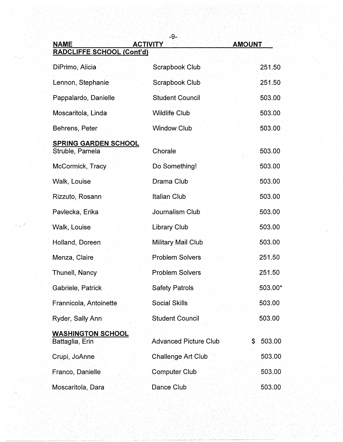| <b>NAME</b>                                    | -9-<br><b>ACTIVITY</b>       | <b>AMOUNT</b> |
|------------------------------------------------|------------------------------|---------------|
| RADCLIFFE SCHOOL (Cont'd)                      |                              |               |
| DiPrimo, Alicia                                | Scrapbook Club               | 251.50        |
| Lennon, Stephanie                              | Scrapbook Club               | 251.50        |
| Pappalardo, Danielle                           | <b>Student Council</b>       | 503.00        |
| Moscaritola, Linda                             | <b>Wildlife Club</b>         | 503.00        |
| Behrens, Peter                                 | <b>Window Club</b>           | 503.00        |
| <b>SPRING GARDEN SCHOOL</b><br>Struble, Pamela | Chorale                      | 503.00        |
| McCormick, Tracy                               | Do Something!                | 503.00        |
| Walk, Louise                                   | Drama Club                   | 503.00        |
| Rizzuto, Rosann                                | <b>Italian Club</b>          | 503.00        |
| Pavlecka, Erika                                | Journalism Club              | 503.00        |
| Walk, Louise                                   | <b>Library Club</b>          | 503.00        |
| Holland, Doreen                                | <b>Military Mail Club</b>    | 503.00        |
| Menza, Claire                                  | <b>Problem Solvers</b>       | 251.50        |
| Thunell, Nancy                                 | <b>Problem Solvers</b>       | 251.50        |
| Gabriele, Patrick                              | <b>Safety Patrols</b>        | 503.00*       |
| Frannicola, Antoinette                         | <b>Social Skills</b>         | 503.00        |
| Ryder, Sally Ann                               | <b>Student Council</b>       | 503.00        |
| <b>WASHINGTON SCHOOL</b><br>Battaglia, Erin    | <b>Advanced Picture Club</b> | 503.00<br>\$  |
| Crupi, JoAnne                                  | <b>Challenge Art Club</b>    | 503.00        |
| Franco, Danielle                               | <b>Computer Club</b>         | 503.00        |
| Moscaritola, Dara                              | Dance Club                   | 503.00        |

. . .... . '· . ,' .···

.. ··.. . .. ·· ........ ··.·..... .·· .... ·.··•· .. ·.. . ... ·.···.· . - -------·---·-----·--·----~----·-·-···--~-------· .\_ ----•-------·---~---~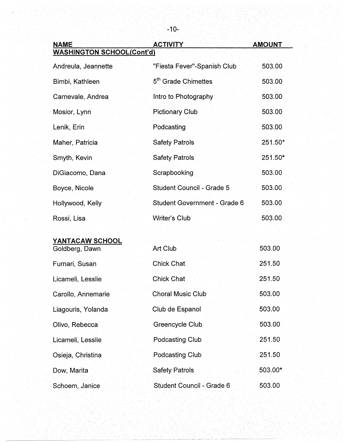| <b>NAME</b>                       | <b>ACTIVITY</b>                     | <b>AMOUNT</b> |
|-----------------------------------|-------------------------------------|---------------|
| <b>WASHINGTON SCHOOL(Cont'd)</b>  |                                     |               |
| Andreula, Jeannette               | "Fiesta Fever"-Spanish Club         | 503.00        |
| Bimbi, Kathleen                   | 5 <sup>th</sup> Grade Chimettes     | 503.00        |
| Carnevale, Andrea                 | Intro to Photography                | 503.00        |
| Mosior, Lynn                      | <b>Pictionary Club</b>              | 503.00        |
| Lenik, Erin                       | Podcasting                          | 503.00        |
| Maher, Patricia                   | <b>Safety Patrols</b>               | 251.50*       |
| Smyth, Kevin                      | <b>Safety Patrols</b>               | 251.50*       |
| DiGiacomo, Dana                   | Scrapbooking                        | 503.00        |
| Boyce, Nicole                     | Student Council - Grade 5           | 503.00        |
| Hollywood, Kelly                  | <b>Student Government - Grade 6</b> | 503.00        |
| Rossi, Lisa                       | <b>Writer's Club</b>                | 503.00        |
| YANTACAW SCHOOL<br>Goldberg, Dawn | Art Club                            | 503.00        |
|                                   |                                     |               |
| Furnari, Susan                    | <b>Chick Chat</b>                   | 251.50        |
| Licameli, Lesslie                 | <b>Chick Chat</b>                   | 251.50        |
| Carollo, Annemarie                | <b>Choral Music Club</b>            | 503.00        |
| Liagouris, Yolanda                | Club de Espanol                     | 503.00        |
| Olivo, Rebecca                    | Greencycle Club                     | 503.00        |
| Licameli, Lesslie                 | Podcasting Club                     | 251.50        |
| Osieja, Christina                 | <b>Podcasting Club</b>              | 251.50        |
| Dow, Marita                       | <b>Safety Patrols</b>               | 503.00*       |
| Schoem, Janice                    | Student Council - Grade 6           | 503.00        |

-10-